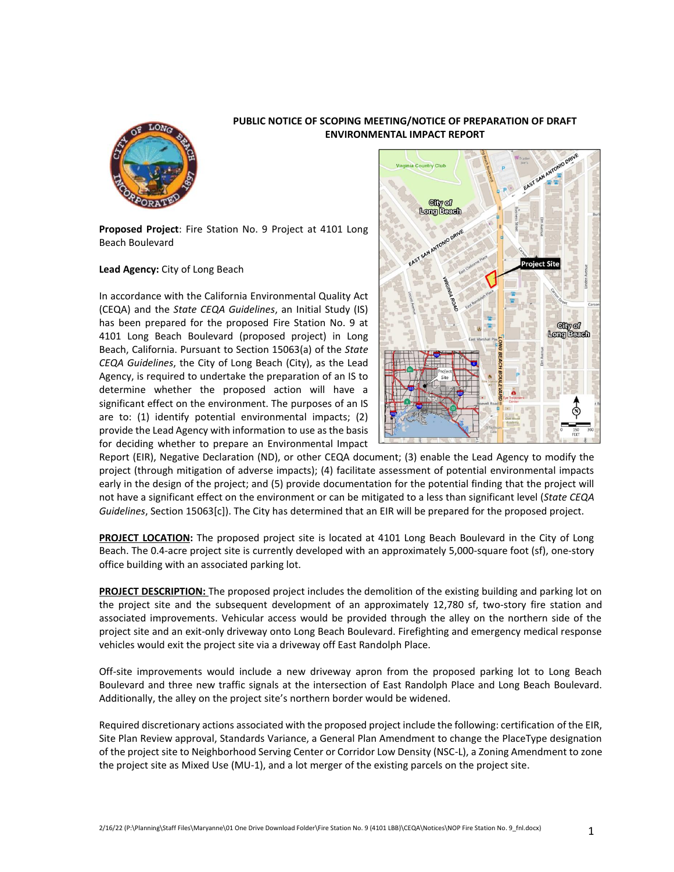

## **PUBLIC NOTICE OF SCOPING MEETING/NOTICE OF PREPARATION OF DRAFT ENVIRONMENTAL IMPACT REPORT**

**Proposed Project**: Fire Station No. 9 Project at 4101 Long Beach Boulevard

## **Lead Agency:** City of Long Beach

In accordance with the California Environmental Quality Act (CEQA) and the *State CEQA Guidelines*, an Initial Study (IS) has been prepared for the proposed Fire Station No. 9 at 4101 Long Beach Boulevard (proposed project) in Long Beach, California. Pursuant to Section 15063(a) of the *State CEQA Guidelines*, the City of Long Beach (City), as the Lead Agency, is required to undertake the preparation of an IS to determine whether the proposed action will have a significant effect on the environment. The purposes of an IS are to: (1) identify potential environmental impacts; (2) provide the Lead Agency with information to use as the basis for deciding whether to prepare an Environmental Impact



Report (EIR), Negative Declaration (ND), or other CEQA document; (3) enable the Lead Agency to modify the project (through mitigation of adverse impacts); (4) facilitate assessment of potential environmental impacts early in the design of the project; and (5) provide documentation for the potential finding that the project will not have a significant effect on the environment or can be mitigated to a less than significant level (*State CEQA Guidelines*, Section 15063[c]). The City has determined that an EIR will be prepared for the proposed project.

**PROJECT LOCATION:** The proposed project site is located at 4101 Long Beach Boulevard in the City of Long Beach. The 0.4-acre project site is currently developed with an approximately 5,000-square foot (sf), one-story office building with an associated parking lot.

**PROJECT DESCRIPTION:** The proposed project includes the demolition of the existing building and parking lot on the project site and the subsequent development of an approximately 12,780 sf, two-story fire station and associated improvements. Vehicular access would be provided through the alley on the northern side of the project site and an exit-only driveway onto Long Beach Boulevard. Firefighting and emergency medical response vehicles would exit the project site via a driveway off East Randolph Place.

Off-site improvements would include a new driveway apron from the proposed parking lot to Long Beach Boulevard and three new traffic signals at the intersection of East Randolph Place and Long Beach Boulevard. Additionally, the alley on the project site's northern border would be widened.

Required discretionary actions associated with the proposed project include the following: certification of the EIR, Site Plan Review approval, Standards Variance, a General Plan Amendment to change the PlaceType designation of the project site to Neighborhood Serving Center or Corridor Low Density (NSC-L), a Zoning Amendment to zone the project site as Mixed Use (MU-1), and a lot merger of the existing parcels on the project site.